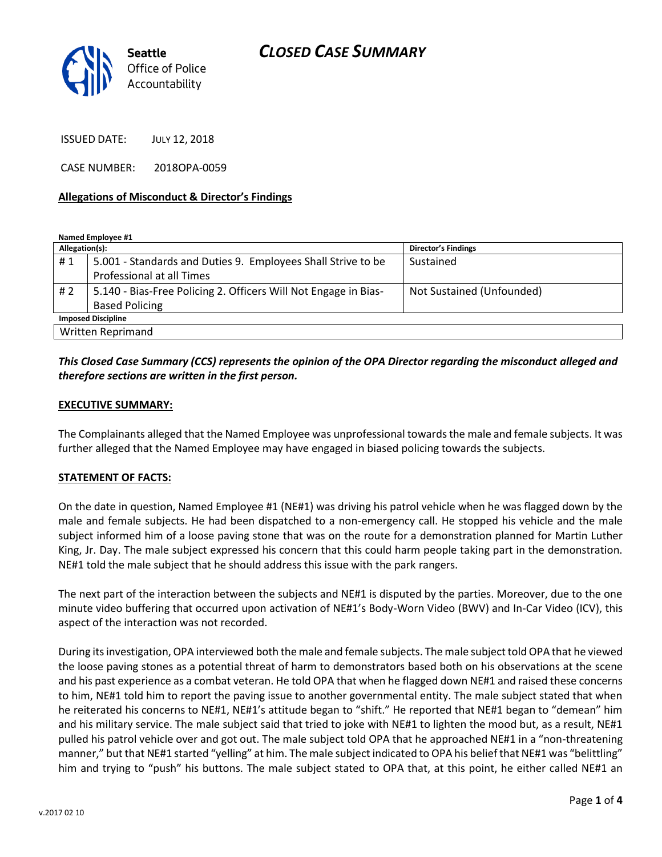

ISSUED DATE: JULY 12, 2018

CASE NUMBER: 2018OPA-0059

#### **Allegations of Misconduct & Director's Findings**

**Named Employee #1**

| Allegation(s):            |                                                                 | <b>Director's Findings</b> |
|---------------------------|-----------------------------------------------------------------|----------------------------|
| #1                        | 5.001 - Standards and Duties 9. Employees Shall Strive to be    | Sustained                  |
|                           | Professional at all Times                                       |                            |
| #2                        | 5.140 - Bias-Free Policing 2. Officers Will Not Engage in Bias- | Not Sustained (Unfounded)  |
|                           | <b>Based Policing</b>                                           |                            |
| <b>Imposed Discipline</b> |                                                                 |                            |
| Written Reprimand         |                                                                 |                            |

## *This Closed Case Summary (CCS) represents the opinion of the OPA Director regarding the misconduct alleged and therefore sections are written in the first person.*

#### **EXECUTIVE SUMMARY:**

The Complainants alleged that the Named Employee was unprofessional towards the male and female subjects. It was further alleged that the Named Employee may have engaged in biased policing towards the subjects.

#### **STATEMENT OF FACTS:**

On the date in question, Named Employee #1 (NE#1) was driving his patrol vehicle when he was flagged down by the male and female subjects. He had been dispatched to a non-emergency call. He stopped his vehicle and the male subject informed him of a loose paving stone that was on the route for a demonstration planned for Martin Luther King, Jr. Day. The male subject expressed his concern that this could harm people taking part in the demonstration. NE#1 told the male subject that he should address this issue with the park rangers.

The next part of the interaction between the subjects and NE#1 is disputed by the parties. Moreover, due to the one minute video buffering that occurred upon activation of NE#1's Body-Worn Video (BWV) and In-Car Video (ICV), this aspect of the interaction was not recorded.

During its investigation, OPA interviewed both the male and female subjects. The male subject told OPA that he viewed the loose paving stones as a potential threat of harm to demonstrators based both on his observations at the scene and his past experience as a combat veteran. He told OPA that when he flagged down NE#1 and raised these concerns to him, NE#1 told him to report the paving issue to another governmental entity. The male subject stated that when he reiterated his concerns to NE#1, NE#1's attitude began to "shift." He reported that NE#1 began to "demean" him and his military service. The male subject said that tried to joke with NE#1 to lighten the mood but, as a result, NE#1 pulled his patrol vehicle over and got out. The male subject told OPA that he approached NE#1 in a "non-threatening manner," but that NE#1 started "yelling" at him. The male subject indicated to OPA his belief that NE#1 was "belittling" him and trying to "push" his buttons. The male subject stated to OPA that, at this point, he either called NE#1 an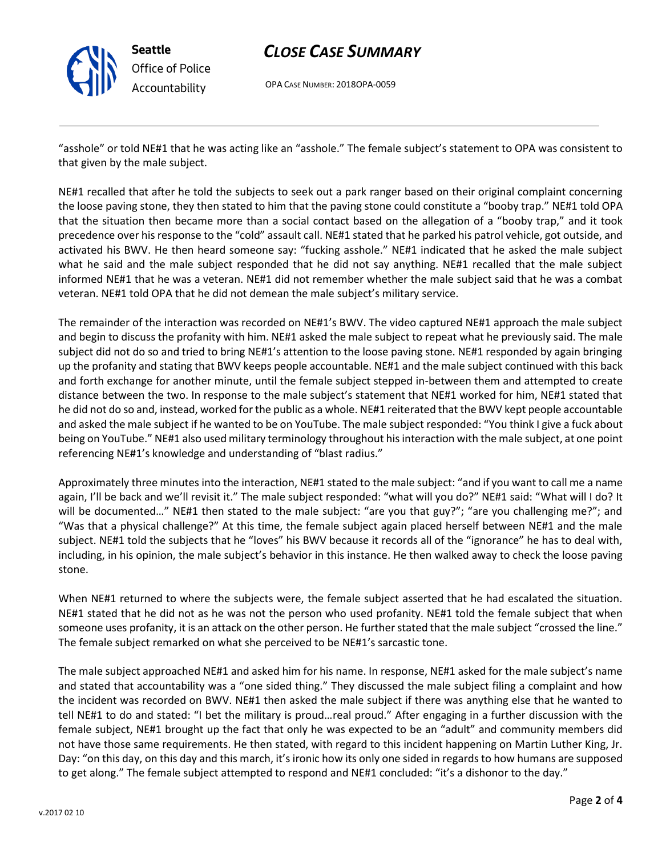

# *CLOSE CASE SUMMARY*

OPA CASE NUMBER: 2018OPA-0059

"asshole" or told NE#1 that he was acting like an "asshole." The female subject's statement to OPA was consistent to that given by the male subject.

NE#1 recalled that after he told the subjects to seek out a park ranger based on their original complaint concerning the loose paving stone, they then stated to him that the paving stone could constitute a "booby trap." NE#1 told OPA that the situation then became more than a social contact based on the allegation of a "booby trap," and it took precedence over his response to the "cold" assault call. NE#1 stated that he parked his patrol vehicle, got outside, and activated his BWV. He then heard someone say: "fucking asshole." NE#1 indicated that he asked the male subject what he said and the male subject responded that he did not say anything. NE#1 recalled that the male subject informed NE#1 that he was a veteran. NE#1 did not remember whether the male subject said that he was a combat veteran. NE#1 told OPA that he did not demean the male subject's military service.

The remainder of the interaction was recorded on NE#1's BWV. The video captured NE#1 approach the male subject and begin to discuss the profanity with him. NE#1 asked the male subject to repeat what he previously said. The male subject did not do so and tried to bring NE#1's attention to the loose paving stone. NE#1 responded by again bringing up the profanity and stating that BWV keeps people accountable. NE#1 and the male subject continued with this back and forth exchange for another minute, until the female subject stepped in-between them and attempted to create distance between the two. In response to the male subject's statement that NE#1 worked for him, NE#1 stated that he did not do so and, instead, worked for the public as a whole. NE#1 reiterated that the BWV kept people accountable and asked the male subject if he wanted to be on YouTube. The male subject responded: "You think I give a fuck about being on YouTube." NE#1 also used military terminology throughout his interaction with the male subject, at one point referencing NE#1's knowledge and understanding of "blast radius."

Approximately three minutes into the interaction, NE#1 stated to the male subject: "and if you want to call me a name again, I'll be back and we'll revisit it." The male subject responded: "what will you do?" NE#1 said: "What will I do? It will be documented..." NE#1 then stated to the male subject: "are you that guy?"; "are you challenging me?"; and "Was that a physical challenge?" At this time, the female subject again placed herself between NE#1 and the male subject. NE#1 told the subjects that he "loves" his BWV because it records all of the "ignorance" he has to deal with, including, in his opinion, the male subject's behavior in this instance. He then walked away to check the loose paving stone.

When NE#1 returned to where the subjects were, the female subject asserted that he had escalated the situation. NE#1 stated that he did not as he was not the person who used profanity. NE#1 told the female subject that when someone uses profanity, it is an attack on the other person. He further stated that the male subject "crossed the line." The female subject remarked on what she perceived to be NE#1's sarcastic tone.

The male subject approached NE#1 and asked him for his name. In response, NE#1 asked for the male subject's name and stated that accountability was a "one sided thing." They discussed the male subject filing a complaint and how the incident was recorded on BWV. NE#1 then asked the male subject if there was anything else that he wanted to tell NE#1 to do and stated: "I bet the military is proud…real proud." After engaging in a further discussion with the female subject, NE#1 brought up the fact that only he was expected to be an "adult" and community members did not have those same requirements. He then stated, with regard to this incident happening on Martin Luther King, Jr. Day: "on this day, on this day and this march, it's ironic how its only one sided in regards to how humans are supposed to get along." The female subject attempted to respond and NE#1 concluded: "it's a dishonor to the day."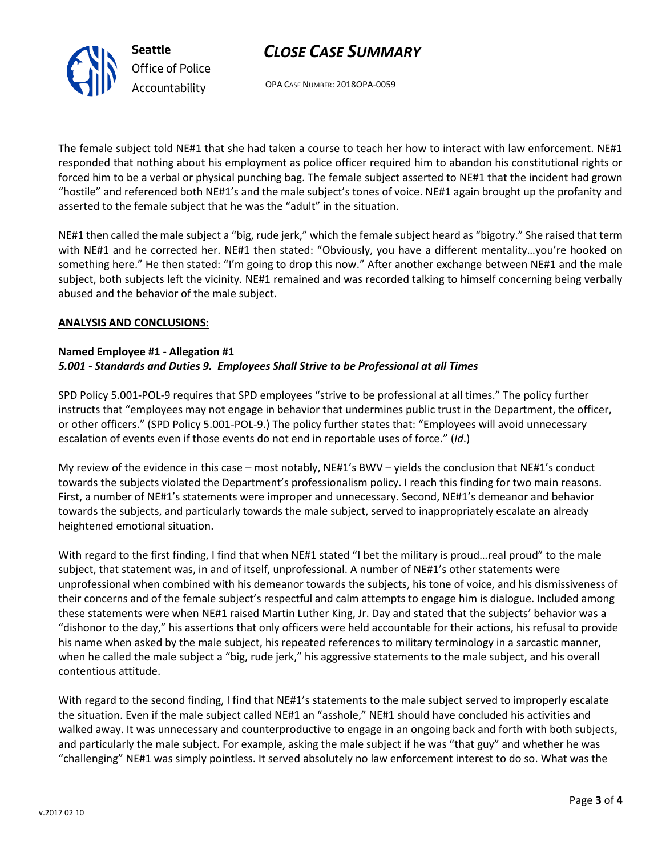# *CLOSE CASE SUMMARY*



OPA CASE NUMBER: 2018OPA-0059

The female subject told NE#1 that she had taken a course to teach her how to interact with law enforcement. NE#1 responded that nothing about his employment as police officer required him to abandon his constitutional rights or forced him to be a verbal or physical punching bag. The female subject asserted to NE#1 that the incident had grown "hostile" and referenced both NE#1's and the male subject's tones of voice. NE#1 again brought up the profanity and asserted to the female subject that he was the "adult" in the situation.

NE#1 then called the male subject a "big, rude jerk," which the female subject heard as "bigotry." She raised that term with NE#1 and he corrected her. NE#1 then stated: "Obviously, you have a different mentality…you're hooked on something here." He then stated: "I'm going to drop this now." After another exchange between NE#1 and the male subject, both subjects left the vicinity. NE#1 remained and was recorded talking to himself concerning being verbally abused and the behavior of the male subject.

#### **ANALYSIS AND CONCLUSIONS:**

#### **Named Employee #1 - Allegation #1** *5.001 - Standards and Duties 9. Employees Shall Strive to be Professional at all Times*

SPD Policy 5.001-POL-9 requires that SPD employees "strive to be professional at all times." The policy further instructs that "employees may not engage in behavior that undermines public trust in the Department, the officer, or other officers." (SPD Policy 5.001-POL-9.) The policy further states that: "Employees will avoid unnecessary escalation of events even if those events do not end in reportable uses of force." (*Id*.)

My review of the evidence in this case – most notably, NE#1's BWV – yields the conclusion that NE#1's conduct towards the subjects violated the Department's professionalism policy. I reach this finding for two main reasons. First, a number of NE#1's statements were improper and unnecessary. Second, NE#1's demeanor and behavior towards the subjects, and particularly towards the male subject, served to inappropriately escalate an already heightened emotional situation.

With regard to the first finding, I find that when NE#1 stated "I bet the military is proud...real proud" to the male subject, that statement was, in and of itself, unprofessional. A number of NE#1's other statements were unprofessional when combined with his demeanor towards the subjects, his tone of voice, and his dismissiveness of their concerns and of the female subject's respectful and calm attempts to engage him is dialogue. Included among these statements were when NE#1 raised Martin Luther King, Jr. Day and stated that the subjects' behavior was a "dishonor to the day," his assertions that only officers were held accountable for their actions, his refusal to provide his name when asked by the male subject, his repeated references to military terminology in a sarcastic manner, when he called the male subject a "big, rude jerk," his aggressive statements to the male subject, and his overall contentious attitude.

With regard to the second finding, I find that NE#1's statements to the male subject served to improperly escalate the situation. Even if the male subject called NE#1 an "asshole," NE#1 should have concluded his activities and walked away. It was unnecessary and counterproductive to engage in an ongoing back and forth with both subjects, and particularly the male subject. For example, asking the male subject if he was "that guy" and whether he was "challenging" NE#1 was simply pointless. It served absolutely no law enforcement interest to do so. What was the